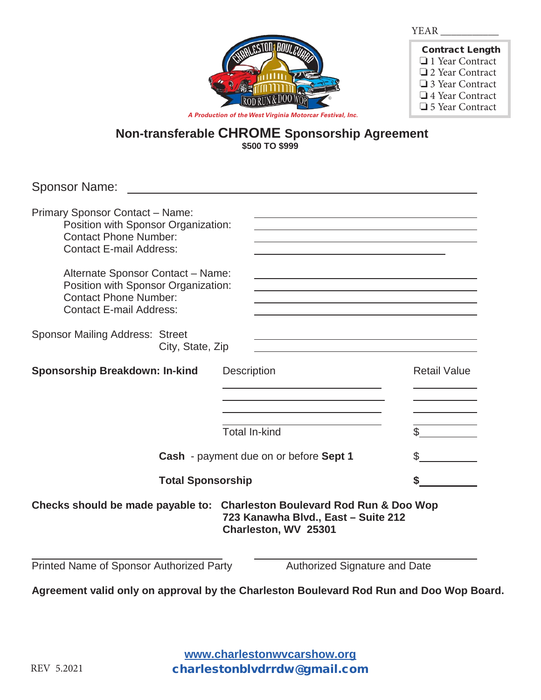

| <b>Contract Length</b> |
|------------------------|
| □ 1 Year Contract      |
| □ 2 Year Contract      |
| $\Box$ 3 Year Contract |
| $\Box$ 4 Year Contract |
| □ 5 Year Contract      |

*A Production of the West Virginia Motorcar Festival, Inc.*

## **Non-transferable CHROME Sponsorship Agreement \$500 TO \$999**

Sponsor Name:

| <b>Primary Sponsor Contact - Name:</b><br>Position with Sponsor Organization:<br><b>Contact Phone Number:</b><br><b>Contact E-mail Address:</b> |                                                             |                               |
|-------------------------------------------------------------------------------------------------------------------------------------------------|-------------------------------------------------------------|-------------------------------|
| Alternate Sponsor Contact - Name:<br>Position with Sponsor Organization:<br><b>Contact Phone Number:</b><br><b>Contact E-mail Address:</b>      |                                                             |                               |
| <b>Sponsor Mailing Address: Street</b><br>City, State, Zip                                                                                      |                                                             |                               |
| Sponsorship Breakdown: In-kind                                                                                                                  | <b>Description</b>                                          | <b>Retail Value</b>           |
|                                                                                                                                                 |                                                             |                               |
|                                                                                                                                                 | <b>Total In-kind</b>                                        | $\mathfrak{L}$                |
| Cash - payment due on or before Sept 1                                                                                                          |                                                             |                               |
| <b>Total Sponsorship</b>                                                                                                                        |                                                             |                               |
| Checks should be made payable to: Charleston Boulevard Rod Run & Doo Wop                                                                        | 723 Kanawha Blvd., East - Suite 212<br>Charleston, WV 25301 |                               |
| Printed Name of Sponsor Authorized Party                                                                                                        |                                                             | Authorized Signature and Date |

**Agreement valid only on approval by the Charleston Boulevard Rod Run and Doo Wop Board.** 

**www.charlestonwvcarshow.org** charlestonblvdrrdw@gmail.com